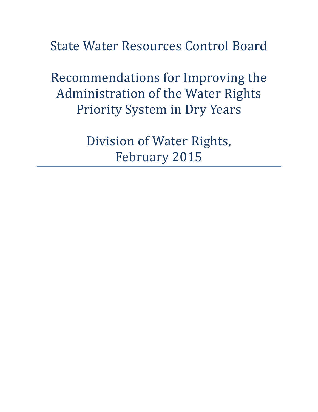State Water Resources Control Board

Recommendations for Improving the Administration of the Water Rights Priority System in Dry Years

> Division of Water Rights, February 2015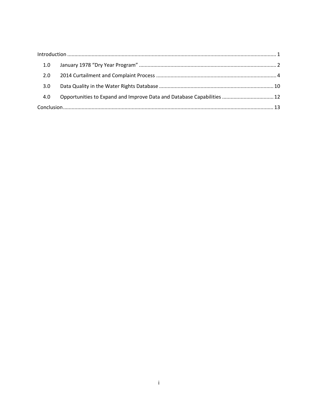| 1.0 |                                                                        |  |
|-----|------------------------------------------------------------------------|--|
| 2.0 |                                                                        |  |
| 3.0 |                                                                        |  |
| 4.0 | Opportunities to Expand and Improve Data and Database Capabilities  12 |  |
|     |                                                                        |  |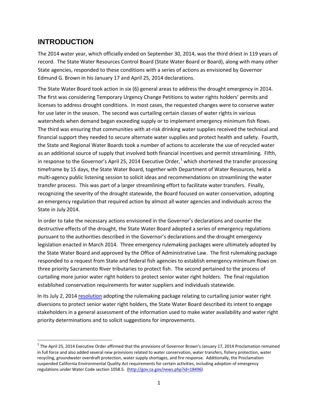# <span id="page-2-0"></span>**INTRODUCTION**

The 2014 water year, which officially ended on September 30, 2014, was the third driest in 119 years of record. The State Water Resources Control Board (State Water Board or Board), along with many other State agencies, responded to these conditions with a series of actions as envisioned by Governor Edmund G. Brown in his January 17 and April 25, 2014 declarations.

The State Water Board took action in six (6) general areas to address the drought emergency in 2014. The first was considering Temporary Urgency Change Petitions to water rights holders' permits and licenses to address drought conditions. In most cases, the requested changes were to conserve water for use later in the season. The second was curtailing certain classes of water rights in various watersheds when demand began exceeding supply or to implement emergency minimum fish flows. The third was ensuring that communities with at-risk drinking water supplies received the technical and financial support they needed to secure alternate water supplies and protect health and safety. Fourth, the State and Regional Water Boards took a number of actions to accelerate the use of recycled water as an additional source of supply that involved both financial incentives and permit streamlining. Fifth, in response to the Governor's April 25, 20[1](#page-2-1)4 Executive Order,<sup>1</sup> which shortened the transfer processing timeframe by 15 days, the State Water Board, together with Department of Water Resources, held a multi-agency public listening session to solicit ideas and recommendations on streamlining the water transfer process. This was part of a larger streamlining effort to facilitate water transfers. Finally, recognizing the severity of the drought statewide, the Board focused on water conservation, adopting an emergency regulation that required action by almost all water agencies and individuals across the State in July 2014.

In order to take the necessary actions envisioned in the Governor's declarations and counter the destructive effects of the drought, the State Water Board adopted a series of emergency regulations pursuant to the authorities described in the Governor's declarations and the drought emergency legislation enacted in March 2014. Three emergency rulemaking packages were ultimately adopted by the State Water Board and approved by the Office of Administrative Law. The first rulemaking package responded to a request from State and federal fish agencies to establish emergency minimum flows on three priority Sacramento River tributaries to protect fish. The second pertained to the process of curtailing more junior water right holders to protect senior water right holders. The final regulation established conservation requirements for water suppliers and individuals statewide.

In its July 2, 2014 [resolution](http://www.waterboards.ca.gov/board_decisions/adopted_orders/resolutions/2014/rs2014_0031.pdf) adopting the rulemaking package relating to curtailing junior water right diversions to protect senior water right holders, the State Water Board described its intent to engage stakeholders in a general assessment of the information used to make water availability and water right priority determinations and to solicit suggestions for improvements.

<span id="page-2-1"></span> $1$  The April 25, 2014 Executive Order affirmed that the provisions of Governor Brown's January 17, 2014 Proclamation remained in full force and also added several new provisions related to water conservation, water transfers, fishery protection, water recycling, groundwater overdraft protection, water supply shortages, and fire response. Additionally, the Proclamation suspended California Environmental Quality Act requirements for certain activities, including adoption of emergency regulations under Water Code section 1058.5. [\(http://gov.ca.gov/news.php?id=18496\)](http://gov.ca.gov/news.php?id=18496)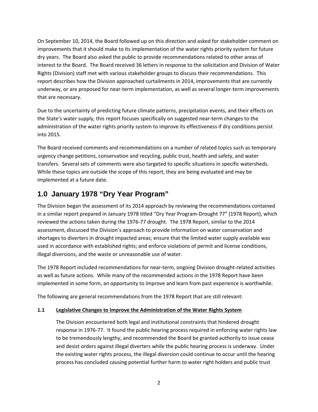On September 10, 2014, the Board followed up on this direction and asked for stakeholder comment on improvements that it should make to its implementation of the water rights priority system for future dry years. The Board also asked the public to provide recommendations related to other areas of interest to the Board. The Board received 36 letters in response to the solicitation and Division of Water Rights (Division) staff met with various stakeholder groups to discuss their recommendations. This report describes how the Division approached curtailments in 2014, improvements that are currently underway, or are proposed for near-term implementation, as well as several longer-term improvements that are necessary.

Due to the uncertainty of predicting future climate patterns, precipitation events, and their effects on the State's water supply, this report focuses specifically on suggested near-term changes to the administration of the water rights priority system to improve its effectiveness if dry conditions persist into 2015.

The Board received comments and recommendations on a number of related topics such as temporary urgency change petitions, conservation and recycling, public trust, health and safety, and water transfers. Several sets of comments were also targeted to specific situations in specific watersheds. While these topics are outside the scope of this report, they are being evaluated and may be implemented at a future date.

# <span id="page-3-0"></span>**1.0 January 1978 "Dry Year Program"**

The Division began the assessment of its 2014 approach by reviewing the recommendations contained in a similar report prepared in January 1978 titled "Dry Year Program-Drought 77" (1978 Report), which reviewed the actions taken during the 1976-77 drought. The 1978 Report, similar to the 2014 assessment, discussed the Division's approach to provide information on water conservation and shortages to diverters in drought impacted areas; ensure that the limited water supply available was used in accordance with established rights; and enforce violations of permit and license conditions, illegal diversions, and the waste or unreasonable use of water.

The 1978 Report included recommendations for near-term, ongoing Division drought-related activities as well as future actions. While many of the recommended actions in the 1978 Report have been implemented in some form, an opportunity to improve and learn from past experience is worthwhile.

The following are general recommendations from the 1978 Report that are still relevant:

### **1.1 Legislative Changes to Improve the Administration of the Water Rights System**

The Division encountered both legal and institutional constraints that hindered drought response in 1976-77. It found the public hearing process required in enforcing water rights law to be tremendously lengthy, and recommended the Board be granted authority to issue cease and desist orders against illegal diverters while the public hearing process is underway. Under the existing water rights process, the illegal diversion could continue to occur until the hearing process has concluded causing potential further harm to water right holders and public trust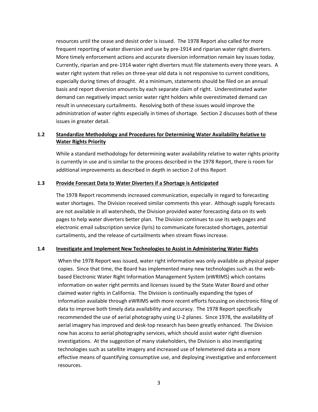resources until the cease and desist order is issued. The 1978 Report also called for more frequent reporting of water diversion and use by pre-1914 and riparian water right diverters. More timely enforcement actions and accurate diversion information remain key issues today. Currently, riparian and pre-1914 water right diverters must file statements every three years. A water right system that relies on three-year old data is not responsive to current conditions, especially during times of drought. At a minimum, statements should be filed on an annual basis and report diversion amounts by each separate claim of right. Underestimated water demand can negatively impact senior water right holders while overestimated demand can result in unnecessary curtailments. Resolving both of these issues would improve the administration of water rights especially in times of shortage. Section 2 discusses both of these issues in greater detail.

### **1.2 Standardize Methodology and Procedures for Determining Water Availability Relative to Water Rights Priority**

While a standard methodology for determining water availability relative to water rights priority is currently in use and is similar to the process described in the 1978 Report, there is room for additional improvements as described in depth in section 2 of this Report

#### **1.3 Provide Forecast Data to Water Diverters if a Shortage is Anticipated**

The 1978 Report recommends increased communication, especially in regard to forecasting water shortages. The Division received similar comments this year. Although supply forecasts are not available in all watersheds, the Division provided water forecasting data on its web pages to help water diverters better plan. The Division continues to use its web pages and electronic email subscription service (lyris) to communicate forecasted shortages, potential curtailments, and the release of curtailments when stream flows increase.

#### **1.4 Investigate and Implement New Technologies to Assist in Administering Water Rights**

When the 1978 Report was issued, water right information was only available as physical paper copies. Since that time, the Board has implemented many new technologies such as the webbased Electronic Water Right Information Management System (eWRIMS) which contains information on water right permits and licenses issued by the State Water Board and other claimed water rights in California. The Division is continually expanding the types of information available through eWRIMS with more recent efforts focusing on electronic filing of data to improve both timely data availability and accuracy. The 1978 Report specifically recommended the use of aerial photography using U-2 planes. Since 1978, the availability of aerial imagery has improved and desk-top research has been greatly enhanced. The Division now has access to aerial photography services, which should assist water right diversion investigations. At the suggestion of many stakeholders, the Division is also investigating technologies such as satellite imagery and increased use of telemetered data as a more effective means of quantifying consumptive use, and deploying investigative and enforcement resources.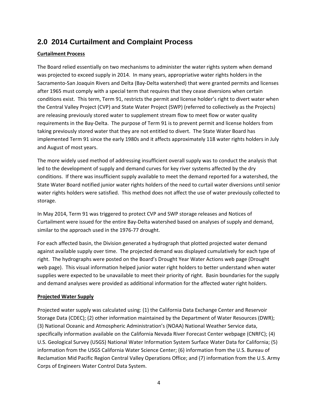# <span id="page-5-0"></span>**2.0 2014 Curtailment and Complaint Process**

### **Curtailment Process**

The Board relied essentially on two mechanisms to administer the water rights system when demand was projected to exceed supply in 2014. In many years, appropriative water rights holders in the Sacramento-San Joaquin Rivers and Delta (Bay-Delta watershed) that were granted permits and licenses after 1965 must comply with a special term that requires that they cease diversions when certain conditions exist. This term, Term 91, restricts the permit and license holder's right to divert water when the Central Valley Project (CVP) and State Water Project (SWP) (referred to collectively as the Projects) are releasing previously stored water to supplement stream flow to meet flow or water quality requirements in the Bay-Delta. The purpose of Term 91 is to prevent permit and license holders from taking previously stored water that they are not entitled to divert. The State Water Board has implemented Term 91 since the early 1980s and it affects approximately 118 water rights holders in July and August of most years.

The more widely used method of addressing insufficient overall supply was to conduct the analysis that led to the development of supply and demand curves for key river systems affected by the dry conditions. If there was insufficient supply available to meet the demand reported for a watershed, the State Water Board notified junior water rights holders of the need to curtail water diversions until senior water rights holders were satisfied. This method does not affect the use of water previously collected to storage.

In May 2014, Term 91 was triggered to protect CVP and SWP storage releases and Notices of Curtailment were issued for the entire Bay-Delta watershed based on analyses of supply and demand, similar to the approach used in the 1976-77 drought.

For each affected basin, the Division generated a hydrograph that plotted projected water demand against available supply over time. The projected demand was displayed cumulatively for each type of right. The hydrographs were posted on the Board's Drought Year Water Actions web page (Drought web page). This visual information helped junior water right holders to better understand when water supplies were expected to be unavailable to meet their priority of right. Basin boundaries for the supply and demand analyses were provided as additional information for the affected water right holders.

### **Projected Water Supply**

Projected water supply was calculated using: (1) the California Data Exchange Center and Reservoir Storage Data (CDEC); (2) other information maintained by the Department of Water Resources (DWR); (3) National Oceanic and Atmospheric Administration's (NOAA) National Weather Service data, specifically information available on the California Nevada River Forecast Center webpage (CNRFC); (4) U.S. Geological Survey (USGS) National Water Information System Surface Water Data for California; (5) information from the USGS California Water Science Center; (6) information from the U.S. Bureau of Reclamation Mid Pacific Region Central Valley Operations Office; and (7) information from the U.S. Army Corps of Engineers Water Control Data System.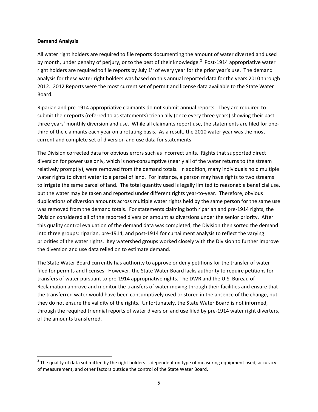#### **Demand Analysis**

All water right holders are required to file reports documenting the amount of water diverted and used by month, under penalty of perjury, or to the best of their knowledge.<sup>[2](#page-6-0)</sup> Post-1914 appropriative water right holders are required to file reports by July  $1<sup>st</sup>$  of every year for the prior year's use. The demand analysis for these water right holders was based on this annual reported data for the years 2010 through 2012. 2012 Reports were the most current set of permit and license data available to the State Water Board.

Riparian and pre-1914 appropriative claimants do not submit annual reports. They are required to submit their reports (referred to as statements) triennially (once every three years) showing their past three years' monthly diversion and use. While all claimants report use, the statements are filed for onethird of the claimants each year on a rotating basis. As a result, the 2010 water year was the most current and complete set of diversion and use data for statements.

The Division corrected data for obvious errors such as incorrect units. Rights that supported direct diversion for power use only, which is non-consumptive (nearly all of the water returns to the stream relatively promptly), were removed from the demand totals. In addition, many individuals hold multiple water rights to divert water to a parcel of land. For instance, a person may have rights to two streams to irrigate the same parcel of land. The total quantity used is legally limited to reasonable beneficial use, but the water may be taken and reported under different rights year-to-year. Therefore, obvious duplications of diversion amounts across multiple water rights held by the same person for the same use was removed from the demand totals. For statements claiming both riparian and pre-1914 rights, the Division considered all of the reported diversion amount as diversions under the senior priority. After this quality control evaluation of the demand data was completed, the Division then sorted the demand into three groups: riparian, pre-1914, and post-1914 for curtailment analysis to reflect the varying priorities of the water rights. Key watershed groups worked closely with the Division to further improve the diversion and use data relied on to estimate demand.

The State Water Board currently has authority to approve or deny petitions for the transfer of water filed for permits and licenses. However, the State Water Board lacks authority to require petitions for transfers of water pursuant to pre-1914 appropriative rights. The DWR and the U.S. Bureau of Reclamation approve and monitor the transfers of water moving through their facilities and ensure that the transferred water would have been consumptively used or stored in the absence of the change, but they do not ensure the validity of the rights. Unfortunately, the State Water Board is not informed, through the required triennial reports of water diversion and use filed by pre-1914 water right diverters, of the amounts transferred.

<span id="page-6-0"></span> $2$  The quality of data submitted by the right holders is dependent on type of measuring equipment used, accuracy of measurement, and other factors outside the control of the State Water Board.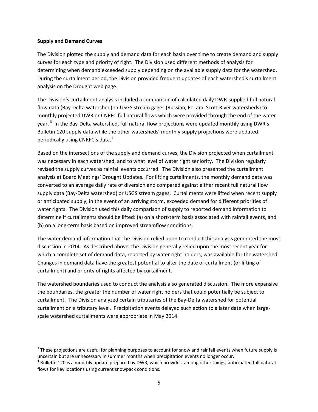#### **Supply and Demand Curves**

The Division plotted the supply and demand data for each basin over time to create demand and supply curves for each type and priority of right. The Division used different methods of analysis for determining when demand exceeded supply depending on the available supply data for the watershed. During the curtailment period, the Division provided frequent updates of each watershed's curtailment analysis on the Drought web page.

The Division's curtailment analysis included a comparison of calculated daily DWR-supplied full natural flow data (Bay-Delta watershed) or USGS stream gages (Russian, Eel and Scott River watersheds) to monthly projected DWR or CNRFC full natural flows which were provided through the end of the water year.<sup>[3](#page-7-0)</sup> In the Bay-Delta watershed, full natural flow projections were updated monthly using DWR's Bulletin 120 supply data while the other watersheds' monthly supply projections were updated periodically using CNRFC's data.[4](#page-7-1)

Based on the intersections of the supply and demand curves, the Division projected when curtailment was necessary in each watershed, and to what level of water right seniority. The Division regularly revised the supply curves as rainfall events occurred. The Division also presented the curtailment analysis at Board Meetings' Drought Updates. For lifting curtailments, the monthly demand data was converted to an average daily rate of diversion and compared against either recent full natural flow supply data (Bay-Delta watershed) or USGS stream gages. Curtailments were lifted when recent supply or anticipated supply, in the event of an arriving storm, exceeded demand for different priorities of water rights. The Division used this daily comparison of supply to reported demand information to determine if curtailments should be lifted: (a) on a short-term basis associated with rainfall events, and (b) on a long-term basis based on improved streamflow conditions.

The water demand information that the Division relied upon to conduct this analysis generated the most discussion in 2014. As described above, the Division generally relied upon the most recent year for which a complete set of demand data, reported by water right holders, was available for the watershed. Changes in demand data have the greatest potential to alter the date of curtailment (or lifting of curtailment) and priority of rights affected by curtailment.

The watershed boundaries used to conduct the analysis also generated discussion. The more expansive the boundaries, the greater the number of water right holders that could potentially be subject to curtailment. The Division analyzed certain tributaries of the Bay-Delta watershed for potential curtailment on a tributary level. Precipitation events delayed such action to a later date when largescale watershed curtailments were appropriate in May 2014.

<span id="page-7-0"></span> $3$  These projections are useful for planning purposes to account for snow and rainfall events when future supply is uncertain but are unnecessary in summer months when precipitation events no longer occur.

<span id="page-7-1"></span> $4$  Bulletin 120 is a monthly update prepared by DWR, which provides, among other things, anticipated full natural flows for key locations using current snowpack conditions.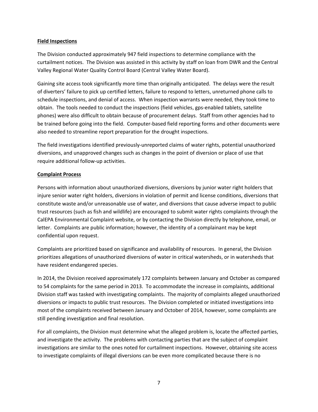#### **Field Inspections**

The Division conducted approximately 947 field inspections to determine compliance with the curtailment notices. The Division was assisted in this activity by staff on loan from DWR and the Central Valley Regional Water Quality Control Board (Central Valley Water Board).

Gaining site access took significantly more time than originally anticipated. The delays were the result of diverters' failure to pick up certified letters, failure to respond to letters, unreturned phone calls to schedule inspections, and denial of access. When inspection warrants were needed, they took time to obtain. The tools needed to conduct the inspections (field vehicles, gps-enabled tablets, satellite phones) were also difficult to obtain because of procurement delays. Staff from other agencies had to be trained before going into the field. Computer-based field reporting forms and other documents were also needed to streamline report preparation for the drought inspections.

The field investigations identified previously-unreported claims of water rights, potential unauthorized diversions, and unapproved changes such as changes in the point of diversion or place of use that require additional follow-up activities.

#### **Complaint Process**

Persons with information about unauthorized diversions, diversions by junior water right holders that injure senior water right holders, diversions in violation of permit and license conditions, diversions that constitute waste and/or unreasonable use of water, and diversions that cause adverse impact to public trust resources (such as fish and wildlife) are encouraged to submit water rights complaints through the CalEPA Environmental Complaint website, or by contacting the Division directly by telephone, email, or letter. Complaints are public information; however, the identity of a complainant may be kept confidential upon request.

Complaints are prioritized based on significance and availability of resources. In general, the Division prioritizes allegations of unauthorized diversions of water in critical watersheds, or in watersheds that have resident endangered species.

In 2014, the Division received approximately 172 complaints between January and October as compared to 54 complaints for the same period in 2013. To accommodate the increase in complaints, additional Division staff was tasked with investigating complaints. The majority of complaints alleged unauthorized diversions or impacts to public trust resources. The Division completed or initiated investigations into most of the complaints received between January and October of 2014, however, some complaints are still pending investigation and final resolution.

For all complaints, the Division must determine what the alleged problem is, locate the affected parties, and investigate the activity. The problems with contacting parties that are the subject of complaint investigations are similar to the ones noted for curtailment inspections. However, obtaining site access to investigate complaints of illegal diversions can be even more complicated because there is no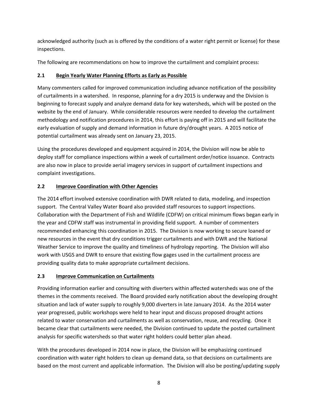acknowledged authority (such as is offered by the conditions of a water right permit or license) for these inspections.

The following are recommendations on how to improve the curtailment and complaint process:

## **2.1 Begin Yearly Water Planning Efforts as Early as Possible**

Many commenters called for improved communication including advance notification of the possibility of curtailments in a watershed. In response, planning for a dry 2015 is underway and the Division is beginning to forecast supply and analyze demand data for key watersheds, which will be posted on the website by the end of January. While considerable resources were needed to develop the curtailment methodology and notification procedures in 2014, this effort is paying off in 2015 and will facilitate the early evaluation of supply and demand information in future dry/drought years. A 2015 notice of potential curtailment was already sent on January 23, 2015.

Using the procedures developed and equipment acquired in 2014, the Division will now be able to deploy staff for compliance inspections within a week of curtailment order/notice issuance. Contracts are also now in place to provide aerial imagery services in support of curtailment inspections and complaint investigations.

## **2.2 Improve Coordination with Other Agencies**

The 2014 effort involved extensive coordination with DWR related to data, modeling, and inspection support. The Central Valley Water Board also provided staff resources to support inspections. Collaboration with the Department of Fish and Wildlife (CDFW) on critical minimum flows began early in the year and CDFW staff was instrumental in providing field support. A number of commenters recommended enhancing this coordination in 2015. The Division is now working to secure loaned or new resources in the event that dry conditions trigger curtailments and with DWR and the National Weather Service to improve the quality and timeliness of hydrology reporting. The Division will also work with USGS and DWR to ensure that existing flow gages used in the curtailment process are providing quality data to make appropriate curtailment decisions.

### **2.3 Improve Communication on Curtailments**

Providing information earlier and consulting with diverters within affected watersheds was one of the themes in the comments received. The Board provided early notification about the developing drought situation and lack of water supply to roughly 9,000 diverters in late January 2014. As the 2014 water year progressed, public workshops were held to hear input and discuss proposed drought actions related to water conservation and curtailments as well as conservation, reuse, and recycling. Once it became clear that curtailments were needed, the Division continued to update the posted curtailment analysis for specific watersheds so that water right holders could better plan ahead.

With the procedures developed in 2014 now in place, the Division will be emphasizing continued coordination with water right holders to clean up demand data, so that decisions on curtailments are based on the most current and applicable information. The Division will also be posting/updating supply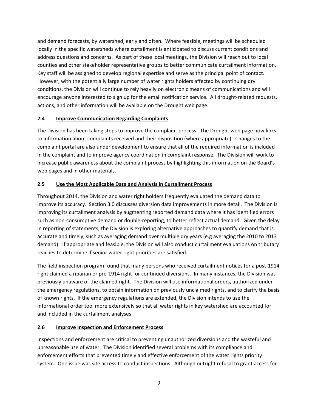and demand forecasts, by watershed, early and often. Where feasible, meetings will be scheduled locally in the specific watersheds where curtailment is anticipated to discuss current conditions and address questions and concerns. As part of these local meetings, the Division will reach out to local counties and other stakeholder representative groups to better communicate curtailment information. Key staff will be assigned to develop regional expertise and serve as the principal point of contact. However, with the potentially large number of water rights holders affected by continuing dry conditions, the Division will continue to rely heavily on electronic means of communications and will encourage anyone interested to sign up for the email notification service. All drought-related requests, actions, and other information will be available on the Drought web page.

## **2.4 Improve Communication Regarding Complaints**

The Division has been taking steps to improve the complaint process. The Drought web page now links to information about complaints received and their disposition (where appropriate). Changes to the complaint portal are also under development to ensure that all of the required information is included in the complaint and to improve agency coordination in complaint response. The Division will work to increase public awareness about the complaint process by highlighting this information on the Board's web pages and in other materials.

## **2.5 Use the Most Applicable Data and Analysis in Curtailment Process**

Throughout 2014, the Division and water right holders frequently evaluated the demand data to improve its accuracy. Section 3.0 discusses diversion data improvements in more detail. The Division is improving its curtailment analysis by augmenting reported demand data where it has identified errors such as non-consumptive demand or double-reporting, to better reflect actual demand. Given the delay in reporting of statements, the Division is exploring alternative approaches to quantify demand that is accurate and timely, such as averaging demand over multiple dry years (e.g averaging the 2010 to 2013 demand). If appropriate and feasible, the Division will also conduct curtailment evaluations on tributary reaches to determine if senior water right priorities are satisfied.

The field inspection program found that many persons who received curtailment notices for a post-1914 right claimed a riparian or pre-1914 right for continued diversions. In many instances, the Division was previously unaware of the claimed right. The Division will use informational orders, authorized under the emergency regulations, to obtain information on previously unclaimed rights, and to clarify the basis of known rights. If the emergency regulations are extended, the Division intends to use the informational order tool more extensively so that all water rights in key watershed are accounted for and included in the curtailment analyses.

### **2.6 Improve Inspection and Enforcement Process**

Inspections and enforcement are critical to preventing unauthorized diversions and the wasteful and unreasonable use of water. The Division identified several problems with its compliance and enforcement efforts that prevented timely and effective enforcement of the water rights priority system. One issue was site access to conduct inspections. Although outright refusal to grant access for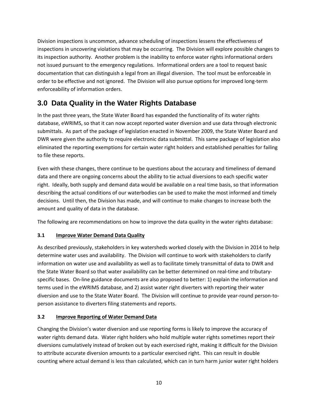Division inspections is uncommon, advance scheduling of inspections lessens the effectiveness of inspections in uncovering violations that may be occurring. The Division will explore possible changes to its inspection authority. Another problem is the inability to enforce water rights informational orders not issued pursuant to the emergency regulations. Informational orders are a tool to request basic documentation that can distinguish a legal from an illegal diversion. The tool must be enforceable in order to be effective and not ignored. The Division will also pursue options for improved long-term enforceability of information orders.

# <span id="page-11-0"></span>**3.0 Data Quality in the Water Rights Database**

In the past three years, the State Water Board has expanded the functionality of its water rights database, eWRIMS, so that it can now accept reported water diversion and use data through electronic submittals. As part of the package of legislation enacted in November 2009, the State Water Board and DWR were given the authority to require electronic data submittal. This same package of legislation also eliminated the reporting exemptions for certain water right holders and established penalties for failing to file these reports.

Even with these changes, there continue to be questions about the accuracy and timeliness of demand data and there are ongoing concerns about the ability to tie actual diversions to each specific water right. Ideally, both supply and demand data would be available on a real time basis, so that information describing the actual conditions of our waterbodies can be used to make the most informed and timely decisions. Until then, the Division has made, and will continue to make changes to increase both the amount and quality of data in the database.

The following are recommendations on how to improve the data quality in the water rights database:

# **3.1 Improve Water Demand Data Quality**

As described previously, stakeholders in key watersheds worked closely with the Division in 2014 to help determine water uses and availability. The Division will continue to work with stakeholders to clarify information on water use and availability as well as to facilitate timely transmittal of data to DWR and the State Water Board so that water availability can be better determined on real-time and tributaryspecific bases. On-line guidance documents are also proposed to better: 1) explain the information and terms used in the eWRIMS database, and 2) assist water right diverters with reporting their water diversion and use to the State Water Board. The Division will continue to provide year-round person-toperson assistance to diverters filing statements and reports.

### **3.2 Improve Reporting of Water Demand Data**

Changing the Division's water diversion and use reporting forms is likely to improve the accuracy of water rights demand data. Water right holders who hold multiple water rights sometimes report their diversions cumulatively instead of broken out by each exercised right, making it difficult for the Division to attribute accurate diversion amounts to a particular exercised right. This can result in double counting where actual demand is less than calculated, which can in turn harm junior water right holders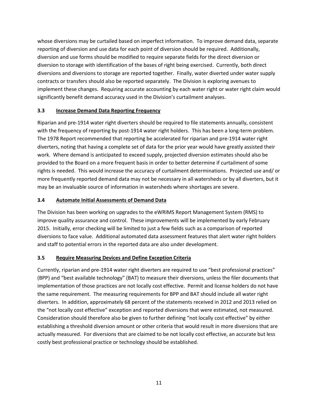whose diversions may be curtailed based on imperfect information. To improve demand data, separate reporting of diversion and use data for each point of diversion should be required. Additionally, diversion and use forms should be modified to require separate fields for the direct diversion or diversion to storage with identification of the bases of right being exercised. Currently, both direct diversions and diversions to storage are reported together. Finally, water diverted under water supply contracts or transfers should also be reported separately. The Division is exploring avenues to implement these changes. Requiring accurate accounting by each water right or water right claim would significantly benefit demand accuracy used in the Division's curtailment analyses.

## **3.3 Increase Demand Data Reporting Frequency**

Riparian and pre-1914 water right diverters should be required to file statements annually, consistent with the frequency of reporting by post-1914 water right holders. This has been a long-term problem. The 1978 Report recommended that reporting be accelerated for riparian and pre-1914 water right diverters, noting that having a complete set of data for the prior year would have greatly assisted their work. Where demand is anticipated to exceed supply, projected diversion estimates should also be provided to the Board on a more frequent basis in order to better determine if curtailment of some rights is needed. This would increase the accuracy of curtailment determinations. Projected use and/ or more frequently reported demand data may not be necessary in all watersheds or by all diverters, but it may be an invaluable source of information in watersheds where shortages are severe.

## **3.4 Automate Initial Assessments of Demand Data**

The Division has been working on upgrades to the eWRIMS Report Management System (RMS) to improve quality assurance and control. These improvements will be implemented by early February 2015. Initially, error checking will be limited to just a few fields such as a comparison of reported diversions to face value. Additional automated data assessment features that alert water right holders and staff to potential errors in the reported data are also under development.

### **3.5 Require Measuring Devices and Define Exception Criteria**

Currently, riparian and pre-1914 water right diverters are required to use "best professional practices" (BPP) and "best available technology" (BAT) to measure their diversions, unless the filer documents that implementation of those practices are not locally cost effective. Permit and license holders do not have the same requirement. The measuring requirements for BPP and BAT should include all water right diverters. In addition, approximately 68 percent of the statements received in 2012 and 2013 relied on the "not locally cost effective" exception and reported diversions that were estimated, not measured. Consideration should therefore also be given to further defining "not locally cost effective" by either establishing a threshold diversion amount or other criteria that would result in more diversions that are actually measured. For diversions that are claimed to be not locally cost effective, an accurate but less costly best professional practice or technology should be established.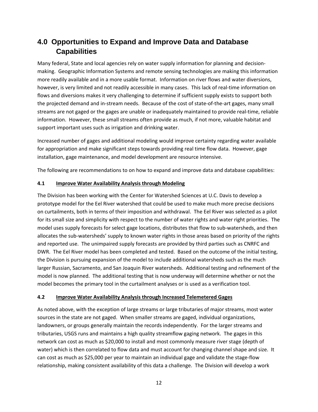# <span id="page-13-0"></span>**4.0 Opportunities to Expand and Improve Data and Database Capabilities**

Many federal, State and local agencies rely on water supply information for planning and decisionmaking. Geographic Information Systems and remote sensing technologies are making this information more readily available and in a more usable format. Information on river flows and water diversions, however, is very limited and not readily accessible in many cases. This lack of real-time information on flows and diversions makes it very challenging to determine if sufficient supply exists to support both the projected demand and in-stream needs. Because of the cost of state-of-the-art gages, many small streams are not gaged or the gages are unable or inadequately maintained to provide real-time, reliable information. However, these small streams often provide as much, if not more, valuable habitat and support important uses such as irrigation and drinking water.

Increased number of gages and additional modeling would improve certainty regarding water available for appropriation and make significant steps towards providing real time flow data. However, gage installation, gage maintenance, and model development are resource intensive.

The following are recommendations to on how to expand and improve data and database capabilities:

### **4.1 Improve Water Availability Analysis through Modeling**

The Division has been working with the Center for Watershed Sciences at U.C. Davis to develop a prototype model for the Eel River watershed that could be used to make much more precise decisions on curtailments, both in terms of their imposition and withdrawal. The Eel River was selected as a pilot for its small size and simplicity with respect to the number of water rights and water right priorities. The model uses supply forecasts for select gage locations, distributes that flow to sub-watersheds, and then allocates the sub-watersheds' supply to known water rights in those areas based on priority of the rights and reported use. The unimpaired supply forecasts are provided by third parties such as CNRFC and DWR. The Eel River model has been completed and tested. Based on the outcome of the initial testing, the Division is pursuing expansion of the model to include additional watersheds such as the much larger Russian, Sacramento, and San Joaquin River watersheds. Additional testing and refinement of the model is now planned. The additional testing that is now underway will determine whether or not the model becomes the primary tool in the curtailment analyses or is used as a verification tool.

### **4.2 Improve Water Availability Analysis through Increased Telemetered Gages**

As noted above, with the exception of large streams or large tributaries of major streams, most water sources in the state are not gaged. When smaller streams are gaged, individual organizations, landowners, or groups generally maintain the records independently. For the larger streams and tributaries, USGS runs and maintains a high quality streamflow gaging network. The gages in this network can cost as much as \$20,000 to install and most commonly measure river stage (depth of water) which is then correlated to flow data and must account for changing channel shape and size. It can cost as much as \$25,000 per year to maintain an individual gage and validate the stage-flow relationship, making consistent availability of this data a challenge. The Division will develop a work